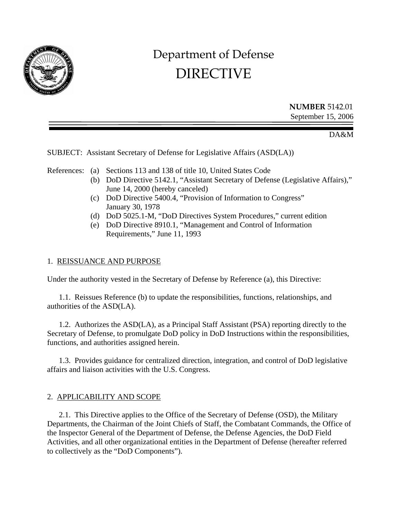

# Department of Defense DIRECTIVE

**NUMBER** 5142.01 September 15, 2006

DA&M

### SUBJECT: Assistant Secretary of Defense for Legislative Affairs (ASD(LA))

References: (a) Sections 113 and 138 of title 10, United States Code

- (b) DoD Directive 5142.1, "Assistant Secretary of Defense (Legislative Affairs)," June 14, 2000 (hereby canceled)
- (c) DoD Directive 5400.4, "Provision of Information to Congress" January 30, 1978
- (d) DoD 5025.1-M, "DoD Directives System Procedures," current edition
- (e) DoD Directive 8910.1, "Management and Control of Information Requirements," June 11, 1993

#### 1. REISSUANCE AND PURPOSE

Under the authority vested in the Secretary of Defense by Reference (a), this Directive:

 1.1. Reissues Reference (b) to update the responsibilities, functions, relationships, and authorities of the ASD(LA).

 1.2. Authorizes the ASD(LA), as a Principal Staff Assistant (PSA) reporting directly to the Secretary of Defense, to promulgate DoD policy in DoD Instructions within the responsibilities, functions, and authorities assigned herein.

 1.3. Provides guidance for centralized direction, integration, and control of DoD legislative affairs and liaison activities with the U.S. Congress.

# 2. APPLICABILITY AND SCOPE

 2.1. This Directive applies to the Office of the Secretary of Defense (OSD), the Military Departments, the Chairman of the Joint Chiefs of Staff, the Combatant Commands, the Office of the Inspector General of the Department of Defense, the Defense Agencies, the DoD Field Activities, and all other organizational entities in the Department of Defense (hereafter referred to collectively as the "DoD Components").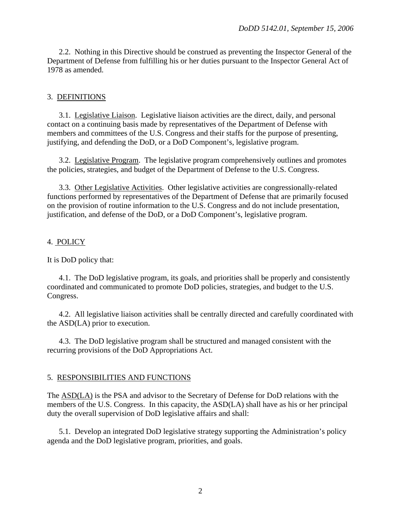2.2. Nothing in this Directive should be construed as preventing the Inspector General of the Department of Defense from fulfilling his or her duties pursuant to the Inspector General Act of 1978 as amended.

### 3. DEFINITIONS

 3.1. Legislative Liaison. Legislative liaison activities are the direct, daily, and personal contact on a continuing basis made by representatives of the Department of Defense with members and committees of the U.S. Congress and their staffs for the purpose of presenting, justifying, and defending the DoD, or a DoD Component's, legislative program.

 3.2. Legislative Program. The legislative program comprehensively outlines and promotes the policies, strategies, and budget of the Department of Defense to the U.S. Congress.

 3.3. Other Legislative Activities. Other legislative activities are congressionally-related functions performed by representatives of the Department of Defense that are primarily focused on the provision of routine information to the U.S. Congress and do not include presentation, justification, and defense of the DoD, or a DoD Component's, legislative program.

### 4. POLICY

It is DoD policy that:

 4.1. The DoD legislative program, its goals, and priorities shall be properly and consistently coordinated and communicated to promote DoD policies, strategies, and budget to the U.S. Congress.

4.2. All legislative liaison activities shall be centrally directed and carefully coordinated with the ASD(LA) prior to execution.

4.3. The DoD legislative program shall be structured and managed consistent with the recurring provisions of the DoD Appropriations Act.

#### 5. RESPONSIBILITIES AND FUNCTIONS

The ASD(LA) is the PSA and advisor to the Secretary of Defense for DoD relations with the members of the U.S. Congress. In this capacity, the ASD(LA) shall have as his or her principal duty the overall supervision of DoD legislative affairs and shall:

 5.1. Develop an integrated DoD legislative strategy supporting the Administration's policy agenda and the DoD legislative program, priorities, and goals.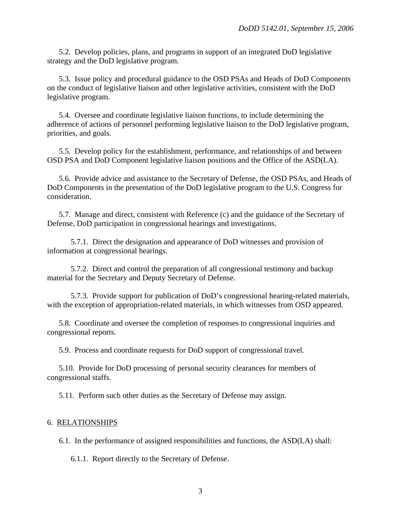5.2. Develop policies, plans, and programs in support of an integrated DoD legislative strategy and the DoD legislative program.

 5.3. Issue policy and procedural guidance to the OSD PSAs and Heads of DoD Components on the conduct of legislative liaison and other legislative activities, consistent with the DoD legislative program.

 5.4. Oversee and coordinate legislative liaison functions, to include determining the adherence of actions of personnel performing legislative liaison to the DoD legislative program, priorities, and goals.

 5.5. Develop policy for the establishment, performance, and relationships of and between OSD PSA and DoD Component legislative liaison positions and the Office of the ASD(LA).

 5.6. Provide advice and assistance to the Secretary of Defense, the OSD PSAs, and Heads of DoD Components in the presentation of the DoD legislative program to the U.S. Congress for consideration.

 5.7. Manage and direct, consistent with Reference (c) and the guidance of the Secretary of Defense, DoD participation in congressional hearings and investigations.

 5.7.1. Direct the designation and appearance of DoD witnesses and provision of information at congressional hearings.

 5.7.2. Direct and control the preparation of all congressional testimony and backup material for the Secretary and Deputy Secretary of Defense.

 5.7.3. Provide support for publication of DoD's congressional hearing-related materials, with the exception of appropriation-related materials, in which witnesses from OSD appeared.

 5.8. Coordinate and oversee the completion of responses to congressional inquiries and congressional reports.

5.9. Process and coordinate requests for DoD support of congressional travel.

 5.10. Provide for DoD processing of personal security clearances for members of congressional staffs.

5.11. Perform such other duties as the Secretary of Defense may assign.

#### 6. RELATIONSHIPS

6.1. In the performance of assigned responsibilities and functions, the ASD(LA) shall:

6.1.1. Report directly to the Secretary of Defense.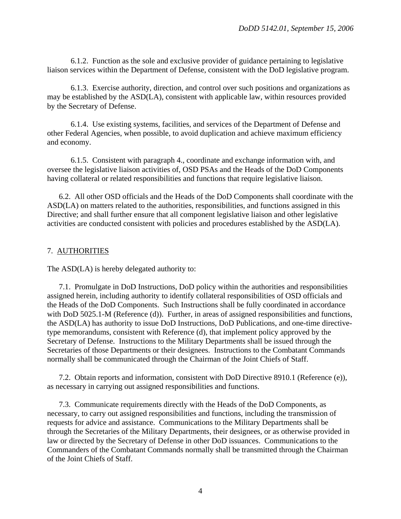6.1.2. Function as the sole and exclusive provider of guidance pertaining to legislative liaison services within the Department of Defense, consistent with the DoD legislative program.

 6.1.3. Exercise authority, direction, and control over such positions and organizations as may be established by the ASD(LA), consistent with applicable law, within resources provided by the Secretary of Defense.

 6.1.4. Use existing systems, facilities, and services of the Department of Defense and other Federal Agencies, when possible, to avoid duplication and achieve maximum efficiency and economy.

 6.1.5. Consistent with paragraph 4., coordinate and exchange information with, and oversee the legislative liaison activities of, OSD PSAs and the Heads of the DoD Components having collateral or related responsibilities and functions that require legislative liaison.

 6.2. All other OSD officials and the Heads of the DoD Components shall coordinate with the ASD(LA) on matters related to the authorities, responsibilities, and functions assigned in this Directive; and shall further ensure that all component legislative liaison and other legislative activities are conducted consistent with policies and procedures established by the ASD(LA).

# 7. AUTHORITIES

The ASD(LA) is hereby delegated authority to:

 7.1. Promulgate in DoD Instructions, DoD policy within the authorities and responsibilities assigned herein, including authority to identify collateral responsibilities of OSD officials and the Heads of the DoD Components. Such Instructions shall be fully coordinated in accordance with DoD 5025.1-M (Reference (d)). Further, in areas of assigned responsibilities and functions, the ASD(LA) has authority to issue DoD Instructions, DoD Publications, and one-time directivetype memorandums, consistent with Reference (d), that implement policy approved by the Secretary of Defense. Instructions to the Military Departments shall be issued through the Secretaries of those Departments or their designees. Instructions to the Combatant Commands normally shall be communicated through the Chairman of the Joint Chiefs of Staff.

 7.2. Obtain reports and information, consistent with DoD Directive 8910.1 (Reference (e)), as necessary in carrying out assigned responsibilities and functions.

 7.3. Communicate requirements directly with the Heads of the DoD Components, as necessary, to carry out assigned responsibilities and functions, including the transmission of requests for advice and assistance. Communications to the Military Departments shall be through the Secretaries of the Military Departments, their designees, or as otherwise provided in law or directed by the Secretary of Defense in other DoD issuances. Communications to the Commanders of the Combatant Commands normally shall be transmitted through the Chairman of the Joint Chiefs of Staff.